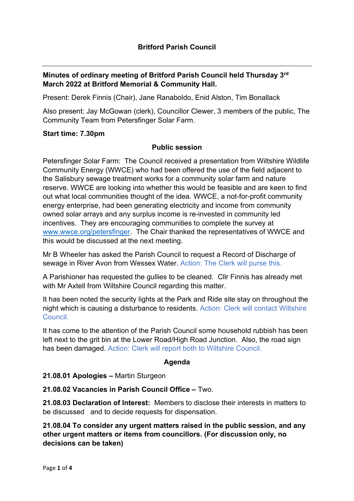# Minutes of ordinary meeting of Britford Parish Council held Thursday 3rd March 2022 at Britford Memorial & Community Hall.

Present: Derek Finnis (Chair), Jane Ranaboldo, Enid Alston, Tim Bonallack

Also present: Jay McGowan (clerk), Councillor Clewer, 3 members of the public, The Community Team from Petersfinger Solar Farm.

#### Start time: 7.30pm

#### Public session

Petersfinger Solar Farm: The Council received a presentation from Wiltshire Wildlife Community Energy (WWCE) who had been offered the use of the field adjacent to the Salisbury sewage treatment works for a community solar farm and nature reserve. WWCE are looking into whether this would be feasible and are keen to find out what local communities thought of the idea. WWCE, a not-for-profit community energy enterprise, had been generating electricity and income from community owned solar arrays and any surplus income is re-invested in community led incentives. They are encouraging communities to complete the survey at www.wwce.org/petersfinger. The Chair thanked the representatives of WWCE and this would be discussed at the next meeting.

Mr B Wheeler has asked the Parish Council to request a Record of Discharge of sewage in River Avon from Wessex Water. Action: The Clerk will purse this.

A Parishioner has requested the gullies to be cleaned. Cllr Finnis has already met with Mr Axtell from Wiltshire Council regarding this matter.

It has been noted the security lights at the Park and Ride site stay on throughout the night which is causing a disturbance to residents. Action: Clerk will contact Wiltshire Council.

It has come to the attention of the Parish Council some household rubbish has been left next to the grit bin at the Lower Road/High Road Junction. Also, the road sign has been damaged. Action: Clerk will report both to Wiltshire Council.

### Agenda

#### 21.08.01 Apologies – Martin Sturgeon

21.08.02 Vacancies in Parish Council Office – Two.

21.08.03 Declaration of Interest: Members to disclose their interests in matters to be discussed and to decide requests for dispensation.

21.08.04 To consider any urgent matters raised in the public session, and any other urgent matters or items from councillors. (For discussion only, no decisions can be taken)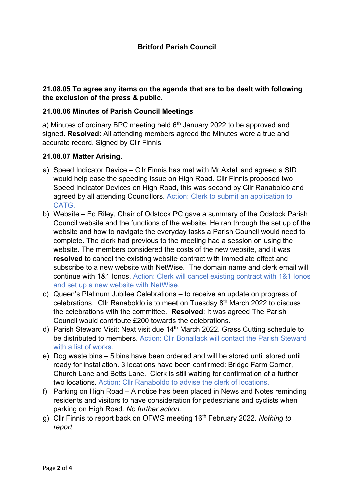## 21.08.05 To agree any items on the agenda that are to be dealt with following the exclusion of the press & public.

### 21.08.06 Minutes of Parish Council Meetings

a) Minutes of ordinary BPC meeting held  $6<sup>th</sup>$  January 2022 to be approved and signed. Resolved: All attending members agreed the Minutes were a true and accurate record. Signed by Cllr Finnis

### 21.08.07 Matter Arising.

- a) Speed Indicator Device Cllr Finnis has met with Mr Axtell and agreed a SID would help ease the speeding issue on High Road. Cllr Finnis proposed two Speed Indicator Devices on High Road, this was second by Cllr Ranaboldo and agreed by all attending Councillors. Action: Clerk to submit an application to CATG.
- b) Website Ed Riley, Chair of Odstock PC gave a summary of the Odstock Parish Council website and the functions of the website. He ran through the set up of the website and how to navigate the everyday tasks a Parish Council would need to complete. The clerk had previous to the meeting had a session on using the website. The members considered the costs of the new website, and it was resolved to cancel the existing website contract with immediate effect and subscribe to a new website with NetWise. The domain name and clerk email will continue with 1&1 Ionos. Action: Clerk will cancel existing contract with 1&1 Ionos and set up a new website with NetWise.
- c) Queen's Platinum Jubilee Celebrations to receive an update on progress of celebrations. Cllr Ranaboldo is to meet on Tuesday 8<sup>th</sup> March 2022 to discuss the celebrations with the committee. Resolved: It was agreed The Parish Council would contribute £200 towards the celebrations.
- d) Parish Steward Visit: Next visit due 14<sup>th</sup> March 2022. Grass Cutting schedule to be distributed to members. Action: Cllr Bonallack will contact the Parish Steward with a list of works.
- e) Dog waste bins 5 bins have been ordered and will be stored until stored until ready for installation. 3 locations have been confirmed: Bridge Farm Corner, Church Lane and Betts Lane. Clerk is still waiting for confirmation of a further two locations. Action: Cllr Ranaboldo to advise the clerk of locations.
- f) Parking on High Road A notice has been placed in News and Notes reminding residents and visitors to have consideration for pedestrians and cyclists when parking on High Road. No further action.
- g) Cllr Finnis to report back on OFWG meeting 16<sup>th</sup> February 2022. Nothing to report.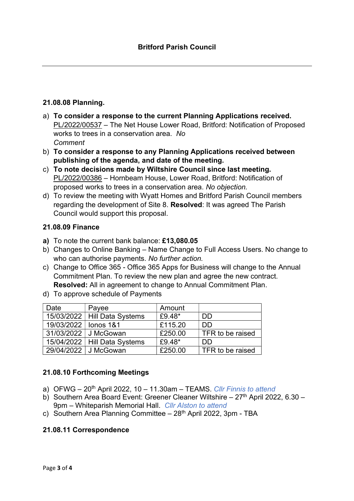### 21.08.08 Planning.

- a) To consider a response to the current Planning Applications received. PL/2022/00537 – The Net House Lower Road, Britford: Notification of Proposed works to trees in a conservation area. No Comment
- b) To consider a response to any Planning Applications received between publishing of the agenda, and date of the meeting.
- c) To note decisions made by Wiltshire Council since last meeting. PL/2022/00386 – Hornbeam House, Lower Road, Britford: Notification of proposed works to trees in a conservation area. No objection.
- d) To review the meeting with Wyatt Homes and Britford Parish Council members regarding the development of Site 8. Resolved: It was agreed The Parish Council would support this proposal.

### 21.08.09 Finance

- a) To note the current bank balance: £13,080.05
- b) Changes to Online Banking Name Change to Full Access Users. No change to who can authorise payments. No further action.
- c) Change to Office 365 Office 365 Apps for Business will change to the Annual Commitment Plan. To review the new plan and agree the new contract. Resolved: All in agreement to change to Annual Commitment Plan.
- d) To approve schedule of Payments

| Date                   | Payee                          | Amount  |                  |
|------------------------|--------------------------------|---------|------------------|
|                        | 15/03/2022   Hill Data Systems | £9.48*  | DD               |
| 19/03/2022   Ionos 1&1 |                                | £115.20 | DD               |
|                        | 31/03/2022 J McGowan           | £250.00 | TFR to be raised |
|                        | $15/04/2022$ Hill Data Systems | £9.48*  | DD               |
|                        | 29/04/2022 J McGowan           | £250.00 | TFR to be raised |

# 21.08.10 Forthcoming Meetings

- a) OFWG  $20<sup>th</sup>$  April 2022, 10 11.30am TEAMS. Cllr Finnis to attend
- b) Southern Area Board Event: Greener Cleaner Wiltshire  $27<sup>th</sup>$  April 2022, 6.30 9pm – Whiteparish Memorial Hall. Cllr Alston to attend
- c) Southern Area Planning Committee  $-28<sup>th</sup>$  April 2022, 3pm TBA

# 21.08.11 Correspondence